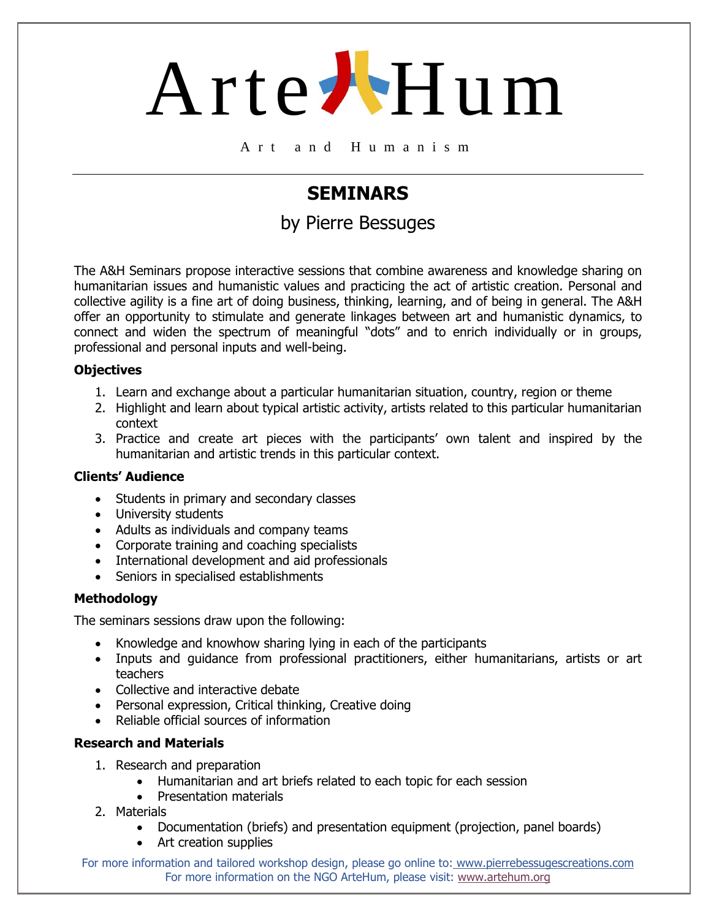# Arte Hum

A r t a n d H u m a n i s m

### **SEMINARS**

### by Pierre Bessuges

The A&H Seminars propose interactive sessions that combine awareness and knowledge sharing on humanitarian issues and humanistic values and practicing the act of artistic creation. Personal and collective agility is a fine art of doing business, thinking, learning, and of being in general. The A&H offer an opportunity to stimulate and generate linkages between art and humanistic dynamics, to connect and widen the spectrum of meaningful "dots" and to enrich individually or in groups, professional and personal inputs and well-being.

#### **Objectives**

- 1. Learn and exchange about a particular humanitarian situation, country, region or theme
- 2. Highlight and learn about typical artistic activity, artists related to this particular humanitarian context
- 3. Practice and create art pieces with the participants' own talent and inspired by the humanitarian and artistic trends in this particular context.

#### **Clients' Audience**

- Students in primary and secondary classes
- University students
- Adults as individuals and company teams
- Corporate training and coaching specialists
- International development and aid professionals
- Seniors in specialised establishments

#### **Methodology**

The seminars sessions draw upon the following:

- Knowledge and knowhow sharing lying in each of the participants
- Inputs and guidance from professional practitioners, either humanitarians, artists or art teachers
- Collective and interactive debate
- Personal expression, Critical thinking, Creative doing
- Reliable official sources of information

#### **Research and Materials**

- 1. Research and preparation
	- Humanitarian and art briefs related to each topic for each session
	- Presentation materials
- 2. Materials
	- Documentation (briefs) and presentation equipment (projection, panel boards)
	- Art creation supplies

For more information and tailored workshop design, please go online to: [www.pierrebessugescreations.com](http://www.pierrebessugescreations.com/) For more information on the NGO ArteHum, please visit: [www.artehum.org](http://www.artehum.org/)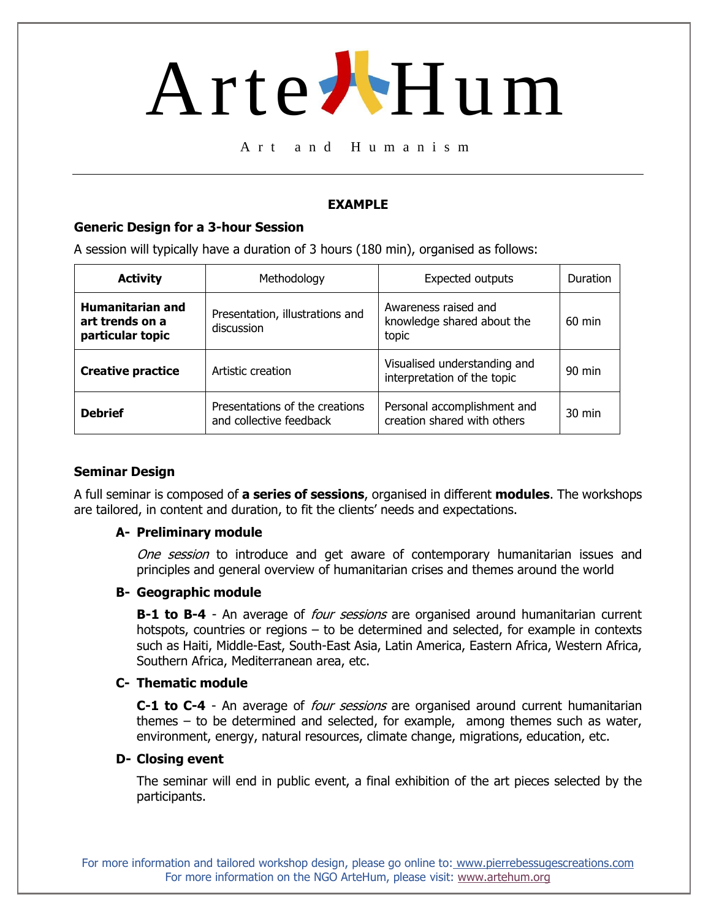## Arte Hum

A r t a n d H u m a n i s m

#### **EXAMPLE**

#### **Generic Design for a 3-hour Session**

A session will typically have a duration of 3 hours (180 min), organised as follows:

| <b>Activity</b>                                                | Methodology                                               | <b>Expected outputs</b>                                     | <b>Duration</b>  |
|----------------------------------------------------------------|-----------------------------------------------------------|-------------------------------------------------------------|------------------|
| <b>Humanitarian and</b><br>art trends on a<br>particular topic | Presentation, illustrations and<br>discussion             | Awareness raised and<br>knowledge shared about the<br>topic | 60 min           |
| <b>Creative practice</b>                                       | Artistic creation                                         | Visualised understanding and<br>interpretation of the topic | $90$ min         |
| <b>Debrief</b>                                                 | Presentations of the creations<br>and collective feedback | Personal accomplishment and<br>creation shared with others  | $30 \text{ min}$ |

#### **Seminar Design**

A full seminar is composed of **a series of sessions**, organised in different **modules**. The workshops are tailored, in content and duration, to fit the clients' needs and expectations.

#### **A- Preliminary module**

One session to introduce and get aware of contemporary humanitarian issues and principles and general overview of humanitarian crises and themes around the world

#### **B- Geographic module**

**B-1 to B-4** - An average of *four sessions* are organised around humanitarian current hotspots, countries or regions – to be determined and selected, for example in contexts such as Haiti, Middle-East, South-East Asia, Latin America, Eastern Africa, Western Africa, Southern Africa, Mediterranean area, etc.

#### **C- Thematic module**

**C-1 to C-4** - An average of *four sessions* are organised around current humanitarian themes – to be determined and selected, for example, among themes such as water, environment, energy, natural resources, climate change, migrations, education, etc.

#### **D- Closing event**

The seminar will end in public event, a final exhibition of the art pieces selected by the participants.

For more information and tailored workshop design, please go online to: [www.pierrebessugescreations.com](http://www.pierrebessugescreations.com/) For more information on the NGO ArteHum, please visit: [www.artehum.org](http://www.artehum.org/)